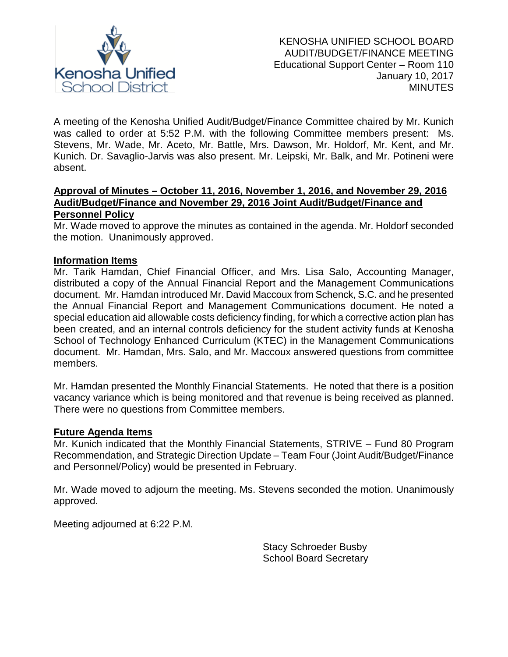

A meeting of the Kenosha Unified Audit/Budget/Finance Committee chaired by Mr. Kunich was called to order at 5:52 P.M. with the following Committee members present: Ms. Stevens, Mr. Wade, Mr. Aceto, Mr. Battle, Mrs. Dawson, Mr. Holdorf, Mr. Kent, and Mr. Kunich. Dr. Savaglio-Jarvis was also present. Mr. Leipski, Mr. Balk, and Mr. Potineni were absent.

### **Approval of Minutes – October 11, 2016, November 1, 2016, and November 29, 2016 Audit/Budget/Finance and November 29, 2016 Joint Audit/Budget/Finance and Personnel Policy**

Mr. Wade moved to approve the minutes as contained in the agenda. Mr. Holdorf seconded the motion. Unanimously approved.

## **Information Items**

Mr. Tarik Hamdan, Chief Financial Officer, and Mrs. Lisa Salo, Accounting Manager, distributed a copy of the Annual Financial Report and the Management Communications document. Mr. Hamdan introduced Mr. David Maccoux from Schenck, S.C. and he presented the Annual Financial Report and Management Communications document. He noted a special education aid allowable costs deficiency finding, for which a corrective action plan has been created, and an internal controls deficiency for the student activity funds at Kenosha School of Technology Enhanced Curriculum (KTEC) in the Management Communications document. Mr. Hamdan, Mrs. Salo, and Mr. Maccoux answered questions from committee members.

Mr. Hamdan presented the Monthly Financial Statements. He noted that there is a position vacancy variance which is being monitored and that revenue is being received as planned. There were no questions from Committee members.

## **Future Agenda Items**

Mr. Kunich indicated that the Monthly Financial Statements, STRIVE – Fund 80 Program Recommendation, and Strategic Direction Update – Team Four (Joint Audit/Budget/Finance and Personnel/Policy) would be presented in February.

Mr. Wade moved to adjourn the meeting. Ms. Stevens seconded the motion. Unanimously approved.

Meeting adjourned at 6:22 P.M.

Stacy Schroeder Busby School Board Secretary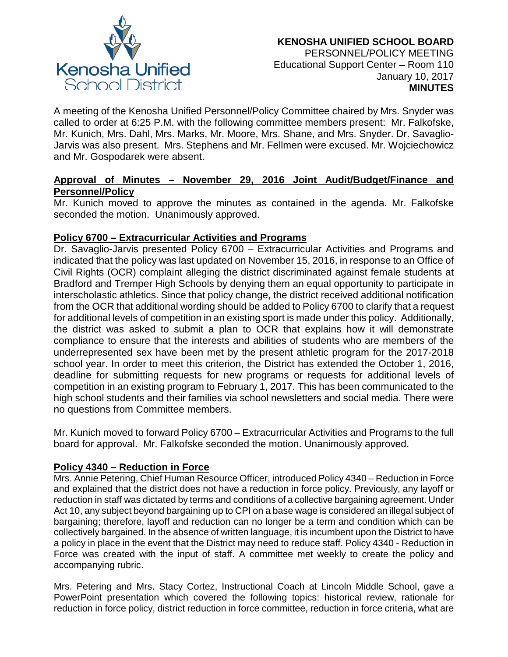

A meeting of the Kenosha Unified Personnel/Policy Committee chaired by Mrs. Snyder was called to order at 6:25 P.M. with the following committee members present: Mr. Falkofske, Mr. Kunich, Mrs. Dahl, Mrs. Marks, Mr. Moore, Mrs. Shane, and Mrs. Snyder. Dr. Savaglio-Jarvis was also present. Mrs. Stephens and Mr. Fellmen were excused. Mr. Wojciechowicz and Mr. Gospodarek were absent.

# **Approval of Minutes – November 29, 2016 Joint Audit/Budget/Finance and Personnel/Policy**

Mr. Kunich moved to approve the minutes as contained in the agenda. Mr. Falkofske seconded the motion. Unanimously approved.

# **Policy 6700 – Extracurricular Activities and Programs**

Dr. Savaglio-Jarvis presented Policy 6700 – Extracurricular Activities and Programs and indicated that the policy was last updated on November 15, 2016, in response to an Office of Civil Rights (OCR) complaint alleging the district discriminated against female students at Bradford and Tremper High Schools by denying them an equal opportunity to participate in interscholastic athletics. Since that policy change, the district received additional notification from the OCR that additional wording should be added to Policy 6700 to clarify that a request for additional levels of competition in an existing sport is made under this policy. Additionally, the district was asked to submit a plan to OCR that explains how it will demonstrate compliance to ensure that the interests and abilities of students who are members of the underrepresented sex have been met by the present athletic program for the 2017-2018 school year. In order to meet this criterion, the District has extended the October 1, 2016, deadline for submitting requests for new programs or requests for additional levels of competition in an existing program to February 1, 2017. This has been communicated to the high school students and their families via school newsletters and social media. There were no questions from Committee members.

Mr. Kunich moved to forward Policy 6700 – Extracurricular Activities and Programs to the full board for approval. Mr. Falkofske seconded the motion. Unanimously approved.

# **Policy 4340 – Reduction in Force**

Mrs. Annie Petering, Chief Human Resource Officer, introduced Policy 4340 – Reduction in Force and explained that the district does not have a reduction in force policy. Previously, any layoff or reduction in staff was dictated by terms and conditions of a collective bargaining agreement. Under Act 10, any subject beyond bargaining up to CPI on a base wage is considered an illegal subject of bargaining; therefore, layoff and reduction can no longer be a term and condition which can be collectively bargained. In the absence of written language, it is incumbent upon the District to have a policy in place in the event that the District may need to reduce staff. Policy 4340 - Reduction in Force was created with the input of staff. A committee met weekly to create the policy and accompanying rubric.

Mrs. Petering and Mrs. Stacy Cortez, Instructional Coach at Lincoln Middle School, gave a PowerPoint presentation which covered the following topics: historical review, rationale for reduction in force policy, district reduction in force committee, reduction in force criteria, what are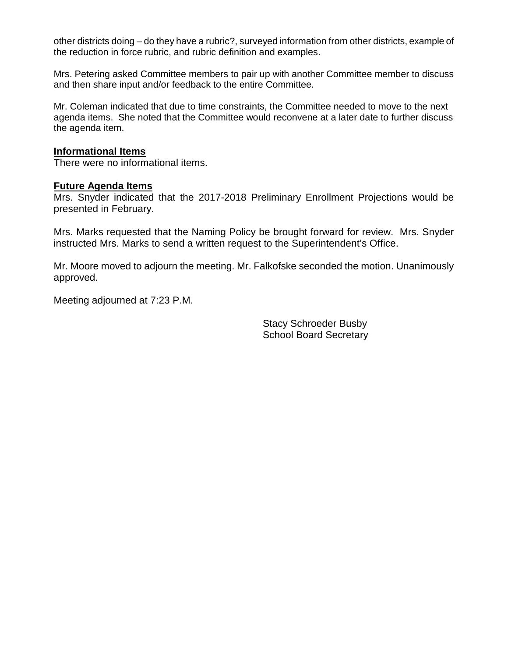other districts doing – do they have a rubric?, surveyed information from other districts, example of the reduction in force rubric, and rubric definition and examples.

Mrs. Petering asked Committee members to pair up with another Committee member to discuss and then share input and/or feedback to the entire Committee.

Mr. Coleman indicated that due to time constraints, the Committee needed to move to the next agenda items. She noted that the Committee would reconvene at a later date to further discuss the agenda item.

#### **Informational Items**

There were no informational items.

#### **Future Agenda Items**

Mrs. Snyder indicated that the 2017-2018 Preliminary Enrollment Projections would be presented in February.

Mrs. Marks requested that the Naming Policy be brought forward for review. Mrs. Snyder instructed Mrs. Marks to send a written request to the Superintendent's Office.

Mr. Moore moved to adjourn the meeting. Mr. Falkofske seconded the motion. Unanimously approved.

Meeting adjourned at 7:23 P.M.

Stacy Schroeder Busby School Board Secretary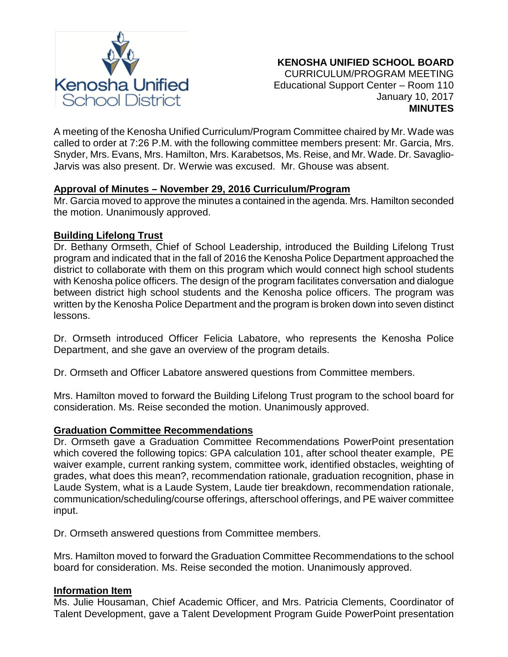

A meeting of the Kenosha Unified Curriculum/Program Committee chaired by Mr. Wade was called to order at 7:26 P.M. with the following committee members present: Mr. Garcia, Mrs. Snyder, Mrs. Evans, Mrs. Hamilton, Mrs. Karabetsos, Ms. Reise, and Mr. Wade. Dr. Savaglio-Jarvis was also present. Dr. Werwie was excused. Mr. Ghouse was absent.

# **Approval of Minutes – November 29, 2016 Curriculum/Program**

Mr. Garcia moved to approve the minutes a contained in the agenda. Mrs. Hamilton seconded the motion. Unanimously approved.

# **Building Lifelong Trust**

Dr. Bethany Ormseth, Chief of School Leadership, introduced the Building Lifelong Trust program and indicated that in the fall of 2016 the Kenosha Police Department approached the district to collaborate with them on this program which would connect high school students with Kenosha police officers. The design of the program facilitates conversation and dialogue between district high school students and the Kenosha police officers. The program was written by the Kenosha Police Department and the program is broken down into seven distinct lessons.

Dr. Ormseth introduced Officer Felicia Labatore, who represents the Kenosha Police Department, and she gave an overview of the program details.

Dr. Ormseth and Officer Labatore answered questions from Committee members.

Mrs. Hamilton moved to forward the Building Lifelong Trust program to the school board for consideration. Ms. Reise seconded the motion. Unanimously approved.

## **Graduation Committee Recommendations**

Dr. Ormseth gave a Graduation Committee Recommendations PowerPoint presentation which covered the following topics: GPA calculation 101, after school theater example, PE waiver example, current ranking system, committee work, identified obstacles, weighting of grades, what does this mean?, recommendation rationale, graduation recognition, phase in Laude System, what is a Laude System, Laude tier breakdown, recommendation rationale, communication/scheduling/course offerings, afterschool offerings, and PE waiver committee input.

Dr. Ormseth answered questions from Committee members.

Mrs. Hamilton moved to forward the Graduation Committee Recommendations to the school board for consideration. Ms. Reise seconded the motion. Unanimously approved.

# **Information Item**

Ms. Julie Housaman, Chief Academic Officer, and Mrs. Patricia Clements, Coordinator of Talent Development, gave a Talent Development Program Guide PowerPoint presentation